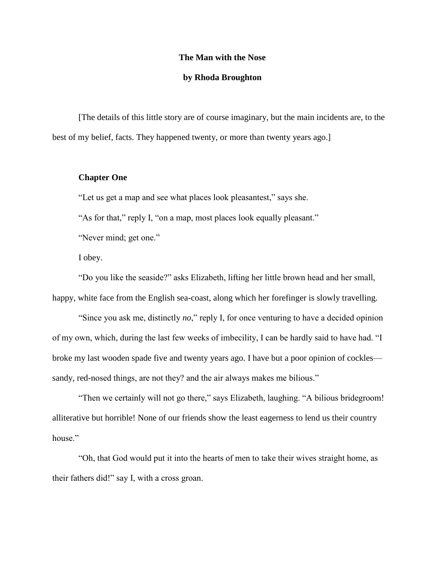#### **The Man with the Nose**

### **by Rhoda Broughton**

[The details of this little story are of course imaginary, but the main incidents are, to the best of my belief, facts. They happened twenty, or more than twenty years ago.]

## **Chapter One**

"Let us get a map and see what places look pleasantest," says she.

"As for that," reply I, "on a map, most places look equally pleasant."

"Never mind; get one."

I obey.

"Do you like the seaside?" asks Elizabeth, lifting her little brown head and her small, happy, white face from the English sea-coast, along which her forefinger is slowly travelling.

"Since you ask me, distinctly *no*," reply I, for once venturing to have a decided opinion of my own, which, during the last few weeks of imbecility, I can be hardly said to have had. "I broke my last wooden spade five and twenty years ago. I have but a poor opinion of cockles sandy, red-nosed things, are not they? and the air always makes me bilious."

"Then we certainly will not go there," says Elizabeth, laughing. "A bilious bridegroom! alliterative but horrible! None of our friends show the least eagerness to lend us their country house."

"Oh, that God would put it into the hearts of men to take their wives straight home, as their fathers did!" say I, with a cross groan.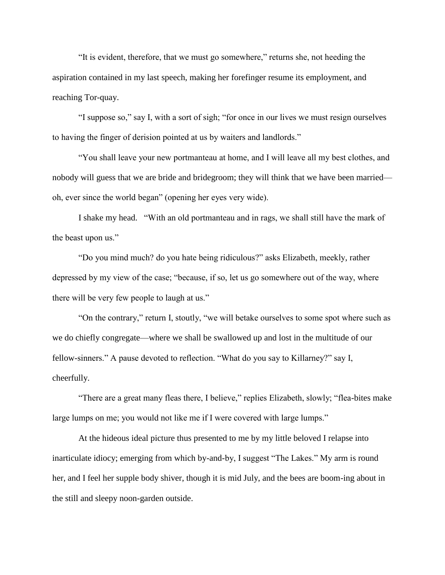"It is evident, therefore, that we must go somewhere," returns she, not heeding the aspiration contained in my last speech, making her forefinger resume its employment, and reaching Tor-quay.

"I suppose so," say I, with a sort of sigh; "for once in our lives we must resign ourselves to having the finger of derision pointed at us by waiters and landlords."

"You shall leave your new portmanteau at home, and I will leave all my best clothes, and nobody will guess that we are bride and bridegroom; they will think that we have been married oh, ever since the world began" (opening her eyes very wide).

I shake my head. "With an old portmanteau and in rags, we shall still have the mark of the beast upon us."

"Do you mind much? do you hate being ridiculous?" asks Elizabeth, meekly, rather depressed by my view of the case; "because, if so, let us go somewhere out of the way, where there will be very few people to laugh at us."

"On the contrary," return I, stoutly, "we will betake ourselves to some spot where such as we do chiefly congregate—where we shall be swallowed up and lost in the multitude of our fellow-sinners." A pause devoted to reflection. "What do you say to Killarney?" say I, cheerfully.

"There are a great many fleas there, I believe," replies Elizabeth, slowly; "flea-bites make large lumps on me; you would not like me if I were covered with large lumps."

At the hideous ideal picture thus presented to me by my little beloved I relapse into inarticulate idiocy; emerging from which by-and-by, I suggest "The Lakes." My arm is round her, and I feel her supple body shiver, though it is mid July, and the bees are boom-ing about in the still and sleepy noon-garden outside.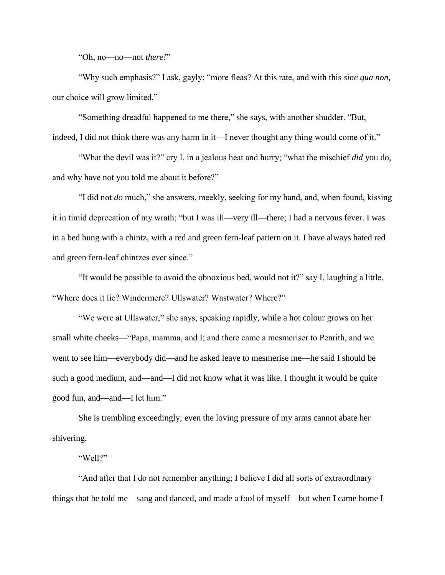"Oh, no—no—not *there!*"

"Why such emphasis?" I ask, gayly; "more fleas? At this rate, and with this *sine qua non*, our choice will grow limited."

"Something dreadful happened to me there," she says, with another shudder. "But, indeed, I did not think there was any harm in it—I never thought any thing would come of it."

"What the devil was it?" cry I, in a jealous heat and hurry; "what the mischief *did* you do, and why have not you told me about it before?"

"I did not *do* much," she answers, meekly, seeking for my hand, and, when found, kissing it in timid deprecation of my wrath; "but I was ill—very ill—there; I had a nervous fever. I was in a bed hung with a chintz, with a red and green fern-leaf pattern on it. I have always hated red and green fern-leaf chintzes ever since."

"It would be possible to avoid the obnoxious bed, would not it?" say I, laughing a little. "Where does it lie? Windermere? Ullswater? Wastwater? Where?"

"We were at Ullswater," she says, speaking rapidly, while a hot colour grows on her small white cheeks—"Papa, mamma, and I; and there came a mesmeriser to Penrith, and we went to see him—everybody did—and he asked leave to mesmerise me—he said I should be such a good medium, and—and—I did not know what it was like. I thought it would be quite good fun, and—and—I let him."

She is trembling exceedingly; even the loving pressure of my arms cannot abate her shivering.

"Well?"

"And after that I do not remember anything; I believe I did all sorts of extraordinary things that he told me—sang and danced, and made a fool of myself—but when I came home I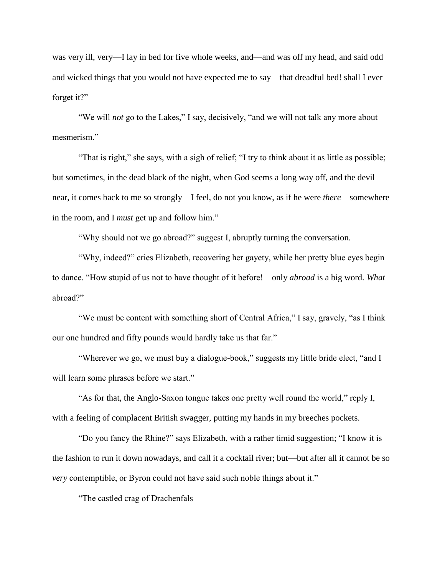was very ill, very—I lay in bed for five whole weeks, and—and was off my head, and said odd and wicked things that you would not have expected me to say—that dreadful bed! shall I ever forget it?"

"We will *not* go to the Lakes," I say, decisively, "and we will not talk any more about mesmerism."

"That is right," she says, with a sigh of relief; "I try to think about it as little as possible; but sometimes, in the dead black of the night, when God seems a long way off, and the devil near, it comes back to me so strongly—I feel, do not you know, as if he were *there*—somewhere in the room, and I *must* get up and follow him."

"Why should not we go abroad?" suggest I, abruptly turning the conversation.

"Why, indeed?" cries Elizabeth, recovering her gayety, while her pretty blue eyes begin to dance. "How stupid of us not to have thought of it before!—only *abroad* is a big word. *What* abroad?"

"We must be content with something short of Central Africa," I say, gravely, "as I think our one hundred and fifty pounds would hardly take us that far."

"Wherever we go, we must buy a dialogue-book," suggests my little bride elect, "and I will learn some phrases before we start."

"As for that, the Anglo-Saxon tongue takes one pretty well round the world," reply I, with a feeling of complacent British swagger, putting my hands in my breeches pockets.

"Do you fancy the Rhine?" says Elizabeth, with a rather timid suggestion; "I know it is the fashion to run it down nowadays, and call it a cocktail river; but—but after all it cannot be so *very* contemptible, or Byron could not have said such noble things about it."

"The castled crag of Drachenfals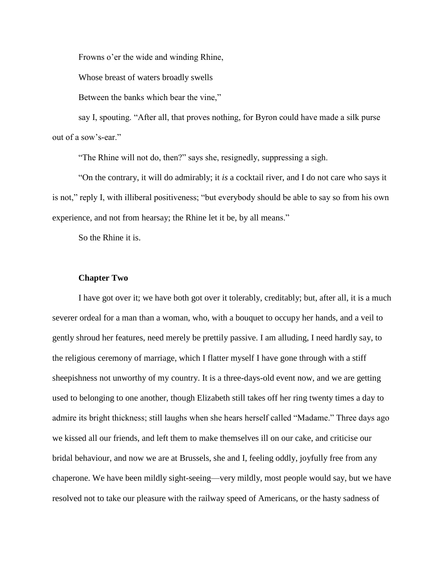Frowns o'er the wide and winding Rhine,

Whose breast of waters broadly swells

Between the banks which bear the vine,"

say I, spouting. "After all, that proves nothing, for Byron could have made a silk purse out of a sow's-ear."

"The Rhine will not do, then?" says she, resignedly, suppressing a sigh.

"On the contrary, it will do admirably; it *is* a cocktail river, and I do not care who says it is not," reply I, with illiberal positiveness; "but everybody should be able to say so from his own experience, and not from hearsay; the Rhine let it be, by all means."

So the Rhine it is.

### **Chapter Two**

I have got over it; we have both got over it tolerably, creditably; but, after all, it is a much severer ordeal for a man than a woman, who, with a bouquet to occupy her hands, and a veil to gently shroud her features, need merely be prettily passive. I am alluding, I need hardly say, to the religious ceremony of marriage, which I flatter myself I have gone through with a stiff sheepishness not unworthy of my country. It is a three-days-old event now, and we are getting used to belonging to one another, though Elizabeth still takes off her ring twenty times a day to admire its bright thickness; still laughs when she hears herself called "Madame." Three days ago we kissed all our friends, and left them to make themselves ill on our cake, and criticise our bridal behaviour, and now we are at Brussels, she and I, feeling oddly, joyfully free from any chaperone. We have been mildly sight-seeing—very mildly, most people would say, but we have resolved not to take our pleasure with the railway speed of Americans, or the hasty sadness of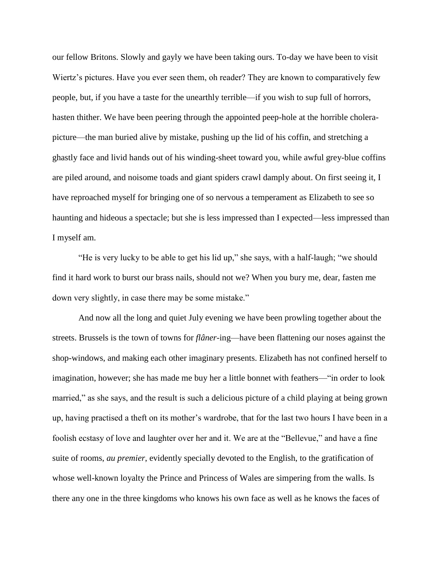our fellow Britons. Slowly and gayly we have been taking ours. To-day we have been to visit Wiertz's pictures. Have you ever seen them, oh reader? They are known to comparatively few people, but, if you have a taste for the unearthly terrible—if you wish to sup full of horrors, hasten thither. We have been peering through the appointed peep-hole at the horrible cholerapicture—the man buried alive by mistake, pushing up the lid of his coffin, and stretching a ghastly face and livid hands out of his winding-sheet toward you, while awful grey-blue coffins are piled around, and noisome toads and giant spiders crawl damply about. On first seeing it, I have reproached myself for bringing one of so nervous a temperament as Elizabeth to see so haunting and hideous a spectacle; but she is less impressed than I expected—less impressed than I myself am.

"He is very lucky to be able to get his lid up," she says, with a half-laugh; "we should find it hard work to burst our brass nails, should not we? When you bury me, dear, fasten me down very slightly, in case there may be some mistake."

And now all the long and quiet July evening we have been prowling together about the streets. Brussels is the town of towns for *flâner*-ing—have been flattening our noses against the shop-windows, and making each other imaginary presents. Elizabeth has not confined herself to imagination, however; she has made me buy her a little bonnet with feathers—"in order to look married," as she says, and the result is such a delicious picture of a child playing at being grown up, having practised a theft on its mother's wardrobe, that for the last two hours I have been in a foolish ecstasy of love and laughter over her and it. We are at the "Bellevue," and have a fine suite of rooms, *au premier*, evidently specially devoted to the English, to the gratification of whose well-known loyalty the Prince and Princess of Wales are simpering from the walls. Is there any one in the three kingdoms who knows his own face as well as he knows the faces of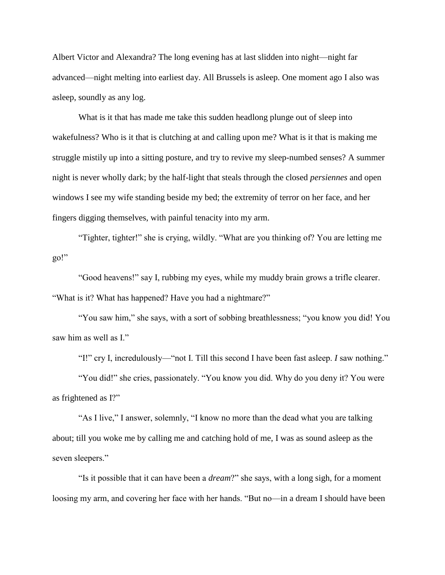Albert Victor and Alexandra? The long evening has at last slidden into night—night far advanced—night melting into earliest day. All Brussels is asleep. One moment ago I also was asleep, soundly as any log.

What is it that has made me take this sudden headlong plunge out of sleep into wakefulness? Who is it that is clutching at and calling upon me? What is it that is making me struggle mistily up into a sitting posture, and try to revive my sleep-numbed senses? A summer night is never wholly dark; by the half-light that steals through the closed *persiennes* and open windows I see my wife standing beside my bed; the extremity of terror on her face, and her fingers digging themselves, with painful tenacity into my arm.

"Tighter, tighter!" she is crying, wildly. "What are you thinking of? You are letting me go!"

"Good heavens!" say I, rubbing my eyes, while my muddy brain grows a trifle clearer. "What is it? What has happened? Have you had a nightmare?"

"You saw him," she says, with a sort of sobbing breathlessness; "you know you did! You saw him as well as I."

"I!" cry I, incredulously—"not I. Till this second I have been fast asleep. *I* saw nothing."

"You did!" she cries, passionately. "You know you did. Why do you deny it? You were as frightened as I?"

"As I live," I answer, solemnly, "I know no more than the dead what you are talking about; till you woke me by calling me and catching hold of me, I was as sound asleep as the seven sleepers."

"Is it possible that it can have been a *dream*?" she says, with a long sigh, for a moment loosing my arm, and covering her face with her hands. "But no—in a dream I should have been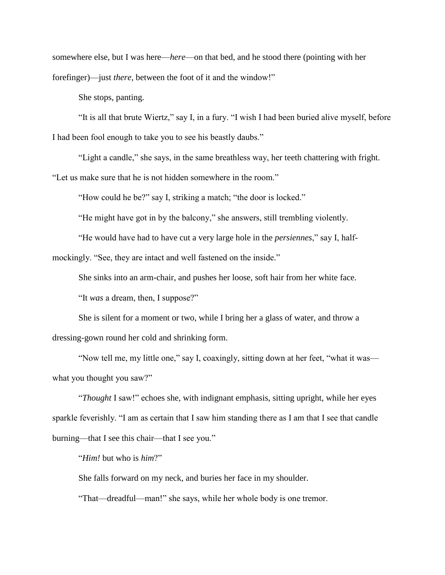somewhere else, but I was here—*here*—on that bed, and he stood there (pointing with her forefinger)—just *there*, between the foot of it and the window!"

She stops, panting.

"It is all that brute Wiertz," say I, in a fury. "I wish I had been buried alive myself, before I had been fool enough to take you to see his beastly daubs."

"Light a candle," she says, in the same breathless way, her teeth chattering with fright. "Let us make sure that he is not hidden somewhere in the room."

"How could he be?" say I, striking a match; "the door is locked."

"He might have got in by the balcony," she answers, still trembling violently.

"He would have had to have cut a very large hole in the *persiennes*," say I, halfmockingly. "See, they are intact and well fastened on the inside."

She sinks into an arm-chair, and pushes her loose, soft hair from her white face.

"It *was* a dream, then, I suppose?"

She is silent for a moment or two, while I bring her a glass of water, and throw a dressing-gown round her cold and shrinking form.

"Now tell me, my little one," say I, coaxingly, sitting down at her feet, "what it was what you thought you saw?"

"*Thought* I saw!" echoes she, with indignant emphasis, sitting upright, while her eyes sparkle feverishly. "I am as certain that I saw him standing there as I am that I see that candle burning—that I see this chair—that I see you."

"*Him!* but who is *him*?"

She falls forward on my neck, and buries her face in my shoulder.

"That—dreadful—man!" she says, while her whole body is one tremor.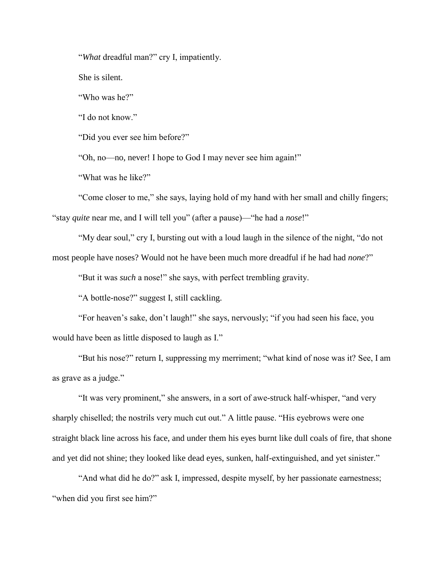"*What* dreadful man?" cry I, impatiently.

She is silent.

"Who was he?"

"I do not know."

"Did you ever see him before?"

"Oh, no—no, never! I hope to God I may never see him again!"

"What was he like?"

"Come closer to me," she says, laying hold of my hand with her small and chilly fingers; "stay *quite* near me, and I will tell you" (after a pause)—"he had a *nose*!"

"My dear soul," cry I, bursting out with a loud laugh in the silence of the night, "do not most people have noses? Would not he have been much more dreadful if he had had *none*?"

"But it was *such* a nose!" she says, with perfect trembling gravity.

"A bottle-nose?" suggest I, still cackling.

"For heaven's sake, don't laugh!" she says, nervously; "if you had seen his face, you would have been as little disposed to laugh as I."

"But his nose?" return I, suppressing my merriment; "what kind of nose was it? See, I am as grave as a judge."

"It was very prominent," she answers, in a sort of awe-struck half-whisper, "and very sharply chiselled; the nostrils very much cut out." A little pause. "His eyebrows were one straight black line across his face, and under them his eyes burnt like dull coals of fire, that shone and yet did not shine; they looked like dead eyes, sunken, half-extinguished, and yet sinister."

"And what did he do?" ask I, impressed, despite myself, by her passionate earnestness; "when did you first see him?"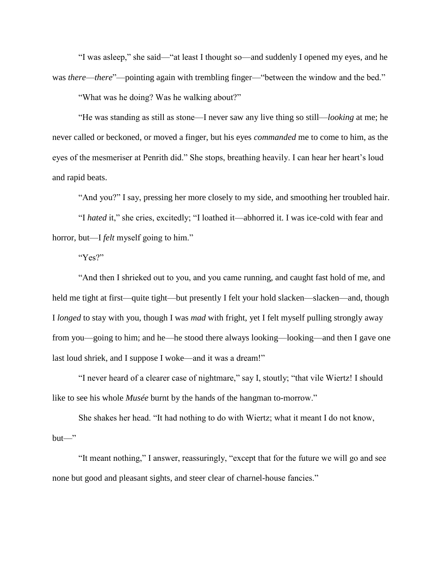"I was asleep," she said—"at least I thought so—and suddenly I opened my eyes, and he was *there—there*"—pointing again with trembling finger—"between the window and the bed."

"What was he doing? Was he walking about?"

"He was standing as still as stone—I never saw any live thing so still—*looking* at me; he never called or beckoned, or moved a finger, but his eyes *commanded* me to come to him, as the eyes of the mesmeriser at Penrith did." She stops, breathing heavily. I can hear her heart's loud and rapid beats.

"And you?" I say, pressing her more closely to my side, and smoothing her troubled hair.

"I *hated* it," she cries, excitedly; "I loathed it—abhorred it. I was ice-cold with fear and horror, but—I *felt* myself going to him."

"Yes?"

"And then I shrieked out to you, and you came running, and caught fast hold of me, and held me tight at first—quite tight—but presently I felt your hold slacken—slacken—and, though I *longed* to stay with you, though I was *mad* with fright, yet I felt myself pulling strongly away from you—going to him; and he—he stood there always looking—looking—and then I gave one last loud shriek, and I suppose I woke—and it was a dream!"

"I never heard of a clearer case of nightmare," say I, stoutly; "that vile Wiertz! I should like to see his whole *Musée* burnt by the hands of the hangman to-morrow."

She shakes her head. "It had nothing to do with Wiertz; what it meant I do not know,  $but$ —"

"It meant nothing," I answer, reassuringly, "except that for the future we will go and see none but good and pleasant sights, and steer clear of charnel-house fancies."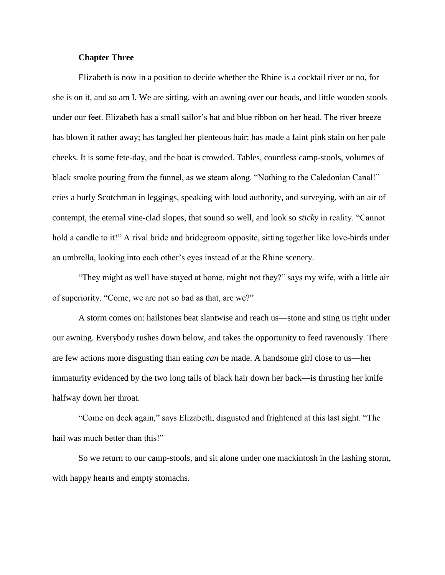## **Chapter Three**

Elizabeth is now in a position to decide whether the Rhine is a cocktail river or no, for she is on it, and so am I. We are sitting, with an awning over our heads, and little wooden stools under our feet. Elizabeth has a small sailor's hat and blue ribbon on her head. The river breeze has blown it rather away; has tangled her plenteous hair; has made a faint pink stain on her pale cheeks. It is some fete-day, and the boat is crowded. Tables, countless camp-stools, volumes of black smoke pouring from the funnel, as we steam along. "Nothing to the Caledonian Canal!" cries a burly Scotchman in leggings, speaking with loud authority, and surveying, with an air of contempt, the eternal vine-clad slopes, that sound so well, and look so *sticky* in reality. "Cannot hold a candle to it!" A rival bride and bridegroom opposite, sitting together like love-birds under an umbrella, looking into each other's eyes instead of at the Rhine scenery.

"They might as well have stayed at home, might not they?" says my wife, with a little air of superiority. "Come, we are not so bad as that, are we?"

A storm comes on: hailstones beat slantwise and reach us—stone and sting us right under our awning. Everybody rushes down below, and takes the opportunity to feed ravenously. There are few actions more disgusting than eating *can* be made. A handsome girl close to us—her immaturity evidenced by the two long tails of black hair down her back—is thrusting her knife halfway down her throat.

"Come on deck again," says Elizabeth, disgusted and frightened at this last sight. "The hail was much better than this!"

So we return to our camp-stools, and sit alone under one mackintosh in the lashing storm, with happy hearts and empty stomachs.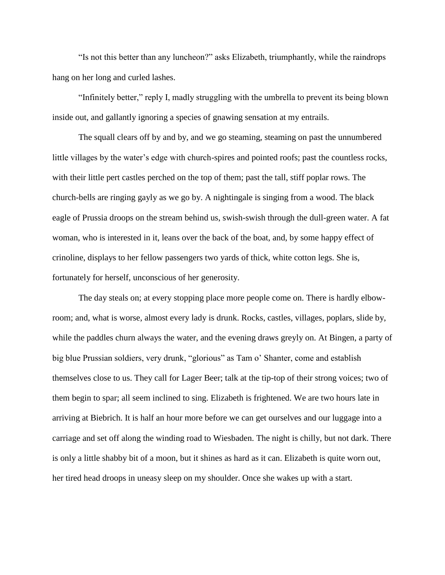"Is not this better than any luncheon?" asks Elizabeth, triumphantly, while the raindrops hang on her long and curled lashes.

"Infinitely better," reply I, madly struggling with the umbrella to prevent its being blown inside out, and gallantly ignoring a species of gnawing sensation at my entrails.

The squall clears off by and by, and we go steaming, steaming on past the unnumbered little villages by the water's edge with church-spires and pointed roofs; past the countless rocks, with their little pert castles perched on the top of them; past the tall, stiff poplar rows. The church-bells are ringing gayly as we go by. A nightingale is singing from a wood. The black eagle of Prussia droops on the stream behind us, swish-swish through the dull-green water. A fat woman, who is interested in it, leans over the back of the boat, and, by some happy effect of crinoline, displays to her fellow passengers two yards of thick, white cotton legs. She is, fortunately for herself, unconscious of her generosity.

The day steals on; at every stopping place more people come on. There is hardly elbowroom; and, what is worse, almost every lady is drunk. Rocks, castles, villages, poplars, slide by, while the paddles churn always the water, and the evening draws greyly on. At Bingen, a party of big blue Prussian soldiers, very drunk, "glorious" as Tam o' Shanter, come and establish themselves close to us. They call for Lager Beer; talk at the tip-top of their strong voices; two of them begin to spar; all seem inclined to sing. Elizabeth is frightened. We are two hours late in arriving at Biebrich. It is half an hour more before we can get ourselves and our luggage into a carriage and set off along the winding road to Wiesbaden. The night is chilly, but not dark. There is only a little shabby bit of a moon, but it shines as hard as it can. Elizabeth is quite worn out, her tired head droops in uneasy sleep on my shoulder. Once she wakes up with a start.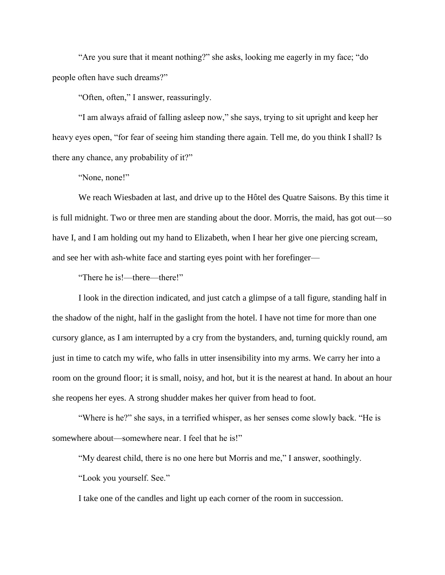"Are you sure that it meant nothing?" she asks, looking me eagerly in my face; "do people often have such dreams?"

"Often, often," I answer, reassuringly.

"I am always afraid of falling asleep now," she says, trying to sit upright and keep her heavy eyes open, "for fear of seeing him standing there again. Tell me, do you think I shall? Is there any chance, any probability of it?"

"None, none!"

We reach Wiesbaden at last, and drive up to the Hôtel des Quatre Saisons. By this time it is full midnight. Two or three men are standing about the door. Morris, the maid, has got out—so have I, and I am holding out my hand to Elizabeth, when I hear her give one piercing scream, and see her with ash-white face and starting eyes point with her forefinger—

"There he is!—there—there!"

I look in the direction indicated, and just catch a glimpse of a tall figure, standing half in the shadow of the night, half in the gaslight from the hotel. I have not time for more than one cursory glance, as I am interrupted by a cry from the bystanders, and, turning quickly round, am just in time to catch my wife, who falls in utter insensibility into my arms. We carry her into a room on the ground floor; it is small, noisy, and hot, but it is the nearest at hand. In about an hour she reopens her eyes. A strong shudder makes her quiver from head to foot.

"Where is he?" she says, in a terrified whisper, as her senses come slowly back. "He is somewhere about—somewhere near. I feel that he is!"

"My dearest child, there is no one here but Morris and me," I answer, soothingly.

"Look you yourself. See."

I take one of the candles and light up each corner of the room in succession.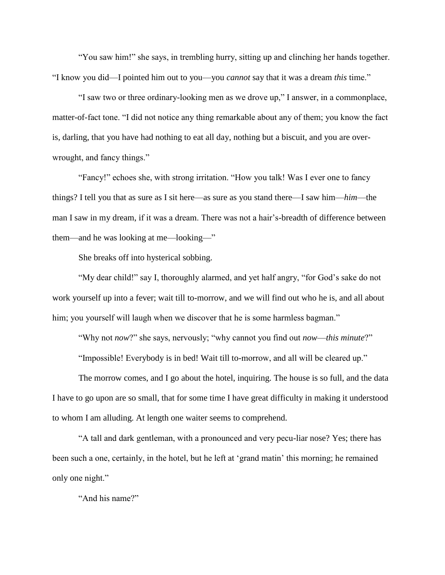"You saw him!" she says, in trembling hurry, sitting up and clinching her hands together. "I know you did—I pointed him out to you—you *cannot* say that it was a dream *this* time."

"I saw two or three ordinary-looking men as we drove up," I answer, in a commonplace, matter-of-fact tone. "I did not notice any thing remarkable about any of them; you know the fact is, darling, that you have had nothing to eat all day, nothing but a biscuit, and you are overwrought, and fancy things."

"Fancy!" echoes she, with strong irritation. "How you talk! Was I ever one to fancy things? I tell you that as sure as I sit here—as sure as you stand there—I saw him—*him*—the man I saw in my dream, if it was a dream. There was not a hair's-breadth of difference between them—and he was looking at me—looking—"

She breaks off into hysterical sobbing.

"My dear child!" say I, thoroughly alarmed, and yet half angry, "for God's sake do not work yourself up into a fever; wait till to-morrow, and we will find out who he is, and all about him; you yourself will laugh when we discover that he is some harmless bagman."

"Why not *now*?" she says, nervously; "why cannot you find out *now*—*this minute*?"

"Impossible! Everybody is in bed! Wait till to-morrow, and all will be cleared up."

The morrow comes, and I go about the hotel, inquiring. The house is so full, and the data I have to go upon are so small, that for some time I have great difficulty in making it understood to whom I am alluding. At length one waiter seems to comprehend.

"A tall and dark gentleman, with a pronounced and very pecu-liar nose? Yes; there has been such a one, certainly, in the hotel, but he left at 'grand matin' this morning; he remained only one night."

"And his name?"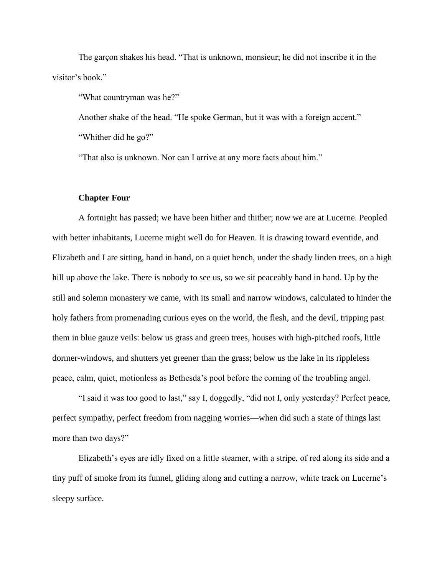The garçon shakes his head. "That is unknown, monsieur; he did not inscribe it in the visitor's book."

"What countryman was he?"

Another shake of the head. "He spoke German, but it was with a foreign accent."

"Whither did he go?"

"That also is unknown. Nor can I arrive at any more facts about him."

## **Chapter Four**

A fortnight has passed; we have been hither and thither; now we are at Lucerne. Peopled with better inhabitants, Lucerne might well do for Heaven. It is drawing toward eventide, and Elizabeth and I are sitting, hand in hand, on a quiet bench, under the shady linden trees, on a high hill up above the lake. There is nobody to see us, so we sit peaceably hand in hand. Up by the still and solemn monastery we came, with its small and narrow windows, calculated to hinder the holy fathers from promenading curious eyes on the world, the flesh, and the devil, tripping past them in blue gauze veils: below us grass and green trees, houses with high-pitched roofs, little dormer-windows, and shutters yet greener than the grass; below us the lake in its rippleless peace, calm, quiet, motionless as Bethesda's pool before the corning of the troubling angel.

"I said it was too good to last," say I, doggedly, "did not I, only yesterday? Perfect peace, perfect sympathy, perfect freedom from nagging worries—when did such a state of things last more than two days?"

Elizabeth's eyes are idly fixed on a little steamer, with a stripe, of red along its side and a tiny puff of smoke from its funnel, gliding along and cutting a narrow, white track on Lucerne's sleepy surface.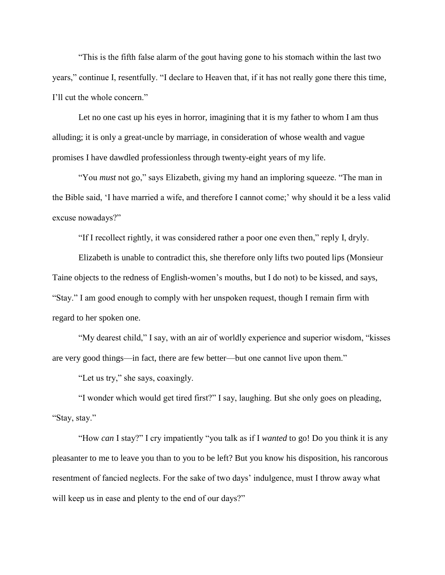"This is the fifth false alarm of the gout having gone to his stomach within the last two years," continue I, resentfully. "I declare to Heaven that, if it has not really gone there this time, I'll cut the whole concern."

Let no one cast up his eyes in horror, imagining that it is my father to whom I am thus alluding; it is only a great-uncle by marriage, in consideration of whose wealth and vague promises I have dawdled professionless through twenty-eight years of my life.

"You *must* not go," says Elizabeth, giving my hand an imploring squeeze. "The man in the Bible said, 'I have married a wife, and therefore I cannot come;' why should it be a less valid excuse nowadays?"

"If I recollect rightly, it was considered rather a poor one even then," reply I, dryly.

Elizabeth is unable to contradict this, she therefore only lifts two pouted lips (Monsieur Taine objects to the redness of English-women's mouths, but I do not) to be kissed, and says, "Stay." I am good enough to comply with her unspoken request, though I remain firm with regard to her spoken one.

"My dearest child," I say, with an air of worldly experience and superior wisdom, "kisses are very good things—in fact, there are few better—but one cannot live upon them."

"Let us try," she says, coaxingly.

"I wonder which would get tired first?" I say, laughing. But she only goes on pleading, "Stay, stay."

"How *can* I stay?" I cry impatiently "you talk as if I *wanted* to go! Do you think it is any pleasanter to me to leave you than to you to be left? But you know his disposition, his rancorous resentment of fancied neglects. For the sake of two days' indulgence, must I throw away what will keep us in ease and plenty to the end of our days?"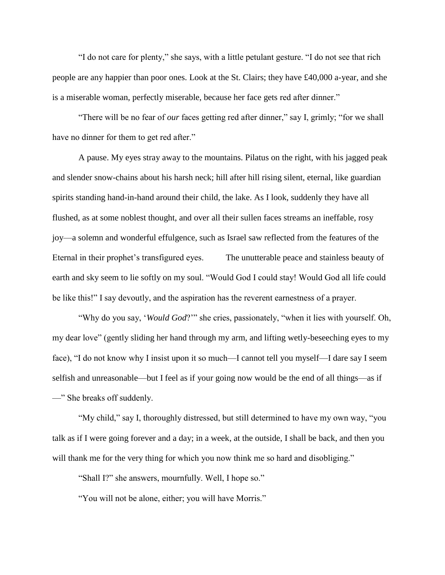"I do not care for plenty," she says, with a little petulant gesture. "I do not see that rich people are any happier than poor ones. Look at the St. Clairs; they have £40,000 a-year, and she is a miserable woman, perfectly miserable, because her face gets red after dinner."

"There will be no fear of *our* faces getting red after dinner," say I, grimly; "for we shall have no dinner for them to get red after."

A pause. My eyes stray away to the mountains. Pilatus on the right, with his jagged peak and slender snow-chains about his harsh neck; hill after hill rising silent, eternal, like guardian spirits standing hand-in-hand around their child, the lake. As I look, suddenly they have all flushed, as at some noblest thought, and over all their sullen faces streams an ineffable, rosy joy—a solemn and wonderful effulgence, such as Israel saw reflected from the features of the Eternal in their prophet's transfigured eyes. The unutterable peace and stainless beauty of earth and sky seem to lie softly on my soul. "Would God I could stay! Would God all life could be like this!" I say devoutly, and the aspiration has the reverent earnestness of a prayer.

"Why do you say, '*Would God*?'" she cries, passionately, "when it lies with yourself. Oh, my dear love" (gently sliding her hand through my arm, and lifting wetly-beseeching eyes to my face), "I do not know why I insist upon it so much—I cannot tell you myself—I dare say I seem selfish and unreasonable—but I feel as if your going now would be the end of all things—as if —" She breaks off suddenly.

"My child," say I, thoroughly distressed, but still determined to have my own way, "you talk as if I were going forever and a day; in a week, at the outside, I shall be back, and then you will thank me for the very thing for which you now think me so hard and disobliging."

"Shall I?" she answers, mournfully. Well, I hope so."

"You will not be alone, either; you will have Morris."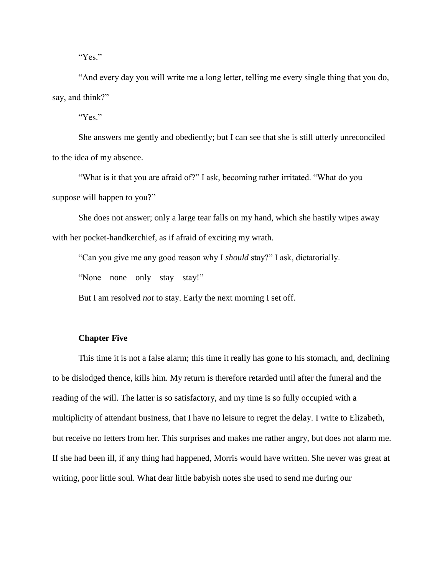"Yes."

"And every day you will write me a long letter, telling me every single thing that you do, say, and think?"

"Yes."

She answers me gently and obediently; but I can see that she is still utterly unreconciled to the idea of my absence.

"What is it that you are afraid of?" I ask, becoming rather irritated. "What do you suppose will happen to you?"

She does not answer; only a large tear falls on my hand, which she hastily wipes away with her pocket-handkerchief, as if afraid of exciting my wrath.

"Can you give me any good reason why I *should* stay?" I ask, dictatorially.

"None—none—only—stay—stay!"

But I am resolved *not* to stay. Early the next morning I set off.

# **Chapter Five**

This time it is not a false alarm; this time it really has gone to his stomach, and, declining to be dislodged thence, kills him. My return is therefore retarded until after the funeral and the reading of the will. The latter is so satisfactory, and my time is so fully occupied with a multiplicity of attendant business, that I have no leisure to regret the delay. I write to Elizabeth, but receive no letters from her. This surprises and makes me rather angry, but does not alarm me. If she had been ill, if any thing had happened, Morris would have written. She never was great at writing, poor little soul. What dear little babyish notes she used to send me during our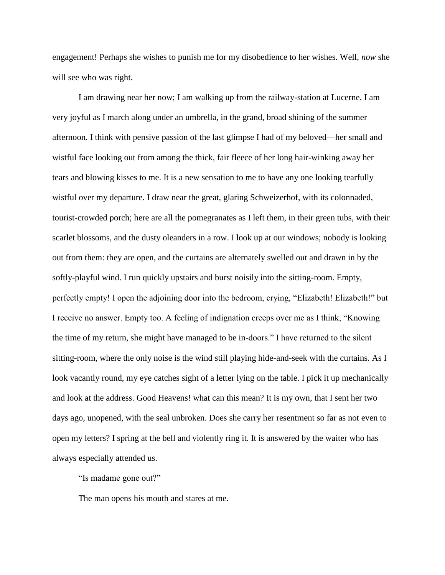engagement! Perhaps she wishes to punish me for my disobedience to her wishes. Well, *now* she will see who was right.

I am drawing near her now; I am walking up from the railway-station at Lucerne. I am very joyful as I march along under an umbrella, in the grand, broad shining of the summer afternoon. I think with pensive passion of the last glimpse I had of my beloved—her small and wistful face looking out from among the thick, fair fleece of her long hair-winking away her tears and blowing kisses to me. It is a new sensation to me to have any one looking tearfully wistful over my departure. I draw near the great, glaring Schweizerhof, with its colonnaded, tourist-crowded porch; here are all the pomegranates as I left them, in their green tubs, with their scarlet blossoms, and the dusty oleanders in a row. I look up at our windows; nobody is looking out from them: they are open, and the curtains are alternately swelled out and drawn in by the softly-playful wind. I run quickly upstairs and burst noisily into the sitting-room. Empty, perfectly empty! I open the adjoining door into the bedroom, crying, "Elizabeth! Elizabeth!" but I receive no answer. Empty too. A feeling of indignation creeps over me as I think, "Knowing the time of my return, she might have managed to be in-doors." I have returned to the silent sitting-room, where the only noise is the wind still playing hide-and-seek with the curtains. As I look vacantly round, my eye catches sight of a letter lying on the table. I pick it up mechanically and look at the address. Good Heavens! what can this mean? It is my own, that I sent her two days ago, unopened, with the seal unbroken. Does she carry her resentment so far as not even to open my letters? I spring at the bell and violently ring it. It is answered by the waiter who has always especially attended us.

"Is madame gone out?"

The man opens his mouth and stares at me.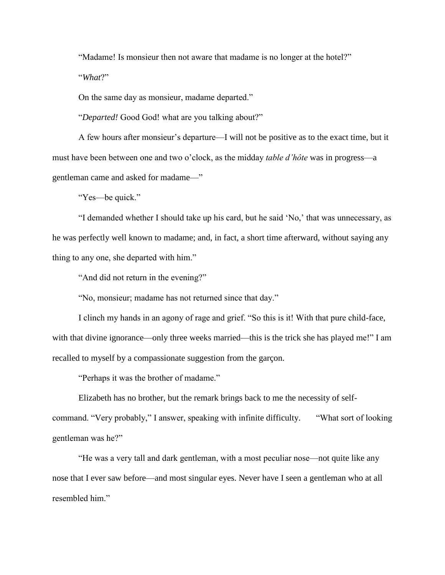"Madame! Is monsieur then not aware that madame is no longer at the hotel?"

"*What*?"

On the same day as monsieur, madame departed."

"*Departed!* Good God! what are you talking about?"

A few hours after monsieur's departure—I will not be positive as to the exact time, but it must have been between one and two o'clock, as the midday *table d'hôte* was in progress—a gentleman came and asked for madame—"

"Yes—be quick."

"I demanded whether I should take up his card, but he said 'No,' that was unnecessary, as he was perfectly well known to madame; and, in fact, a short time afterward, without saying any thing to any one, she departed with him."

"And did not return in the evening?"

"No, monsieur; madame has not returned since that day."

I clinch my hands in an agony of rage and grief. "So this is it! With that pure child-face, with that divine ignorance—only three weeks married—this is the trick she has played me!" I am recalled to myself by a compassionate suggestion from the garçon.

"Perhaps it was the brother of madame."

Elizabeth has no brother, but the remark brings back to me the necessity of self-

command. "Very probably," I answer, speaking with infinite difficulty. "What sort of looking gentleman was he?"

"He was a very tall and dark gentleman, with a most peculiar nose—not quite like any nose that I ever saw before—and most singular eyes. Never have I seen a gentleman who at all resembled him."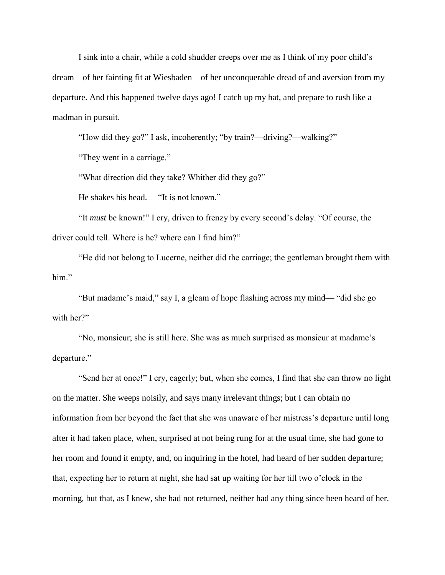I sink into a chair, while a cold shudder creeps over me as I think of my poor child's dream—of her fainting fit at Wiesbaden—of her unconquerable dread of and aversion from my departure. And this happened twelve days ago! I catch up my hat, and prepare to rush like a madman in pursuit.

"How did they go?" I ask, incoherently; "by train?—driving?—walking?"

"They went in a carriage."

"What direction did they take? Whither did they go?"

He shakes his head. "It is not known."

"It *must* be known!" I cry, driven to frenzy by every second's delay. "Of course, the driver could tell. Where is he? where can I find him?"

"He did not belong to Lucerne, neither did the carriage; the gentleman brought them with him."

"But madame's maid," say I, a gleam of hope flashing across my mind— "did she go with her?"

"No, monsieur; she is still here. She was as much surprised as monsieur at madame's departure."

"Send her at once!" I cry, eagerly; but, when she comes, I find that she can throw no light on the matter. She weeps noisily, and says many irrelevant things; but I can obtain no information from her beyond the fact that she was unaware of her mistress's departure until long after it had taken place, when, surprised at not being rung for at the usual time, she had gone to her room and found it empty, and, on inquiring in the hotel, had heard of her sudden departure; that, expecting her to return at night, she had sat up waiting for her till two o'clock in the morning, but that, as I knew, she had not returned, neither had any thing since been heard of her.